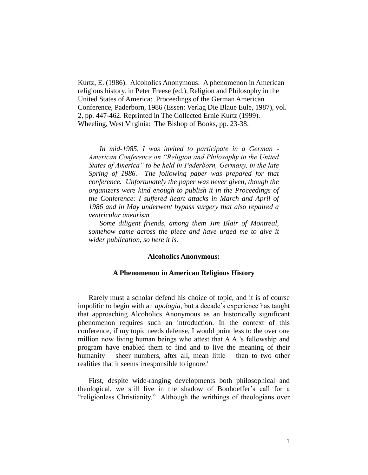Kurtz, E. (1986). Alcoholics Anonymous: A phenomenon in American religious history. in Peter Freese (ed.), Religion and Philosophy in the United States of America: Proceedings of the German American Conference, Paderborn, 1986 (Essen: Verlag Die Blaue Eule, 1987), vol. 2, pp. 447-462. Reprinted in The Collected Ernie Kurtz (1999). Wheeling, West Virginia: The Bishop of Books, pp. 23-38.

*In mid-1985, I was invited to participate in a German - American Conference on "Religion and Philosophy in the United States of America" to be held in Paderborn, Germany, in the late Spring of 1986. The following paper was prepared for that conference. Unfortunately the paper was never given, though the organizers were kind enough to publish it in the Proceedings of the Conference: I suffered heart attacks in March and April of 1986 and in May underwent bypass surgery that also repaired a ventricular aneurism.* 

*Some diligent friends, among them Jim Blair of Montreal, somehow came across the piece and have urged me to give it wider publication, so here it is.* 

## **Alcoholics Anonymous:**

## **A Phenomenon in American Religious History**

Rarely must a scholar defend his choice of topic, and it is of course impolitic to begin with an *apologia*, but a decade's experience has taught that approaching Alcoholics Anonymous as an historically significant phenomenon requires such an introduction. In the context of this conference, if my topic needs defense, I would point less to the over one million now living human beings who attest that A.A.'s fellowship and program have enabled them to find and to live the meaning of their humanity – sheer numbers, after all, mean little – than to two other realities that it seems irresponsible to ignore.<sup>1</sup>

First, despite wide-ranging developments both philosophical and theological, we still live in the shadow of Bonhoeffer's call for a "religionless Christianity." Although the writhings of theologians over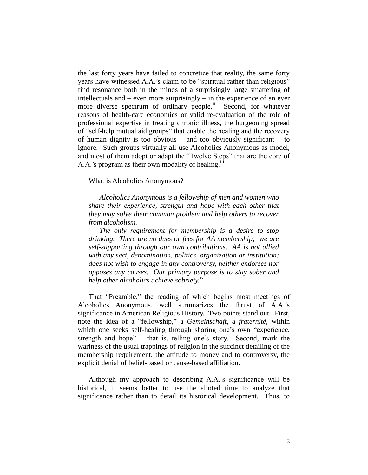the last forty years have failed to concretize that reality, the same forty years have witnessed A.A.'s claim to be "spiritual rather than religious" find resonance both in the minds of a surprisingly large smattering of intellectuals and – even more surprisingly – in the experience of an ever more diverse spectrum of ordinary people.<sup>ii</sup> Second, for whatever reasons of health-care economics or valid re-evaluation of the role of professional expertise in treating chronic illness, the burgeoning spread of "self-help mutual aid groups" that enable the healing and the recovery of human dignity is too obvious – and too obviously significant – to ignore. Such groups virtually all use Alcoholics Anonymous as model, and most of them adopt or adapt the "Twelve Steps" that are the core of A.A.'s program as their own modality of healing. $\mathbf{u}$ 

## What is Alcoholics Anonymous?

*Alcoholics Anonymous is a fellowship of men and women who share their experience, strength and hope with each other that they may solve their common problem and help others to recover from alcoholism.*

*The only requirement for membership is a desire to stop drinking. There are no dues or fees for AA membership; we are self-supporting through our own contributions. AA is not allied with any sect, denomination, politics, organization or institution; does not wish to engage in any controversy, neither endorses nor opposes any causes. Our primary purpose is to stay sober and help other alcoholics achieve sobriety.*iv

That "Preamble," the reading of which begins most meetings of Alcoholics Anonymous, well summarizes the thrust of A.A.'s significance in American Religious History. Two points stand out. First, note the idea of a "fellowship," a *Gemeinschaft*, a *fraternité*, within which one seeks self-healing through sharing one's own "experience, strength and hope" – that is, telling one's story. Second, mark the wariness of the usual trappings of religion in the succinct detailing of the membership requirement, the attitude to money and to controversy, the explicit denial of belief-based or cause-based affiliation.

Although my approach to describing A.A.'s significance will be historical, it seems better to use the alloted time to analyze that significance rather than to detail its historical development. Thus, to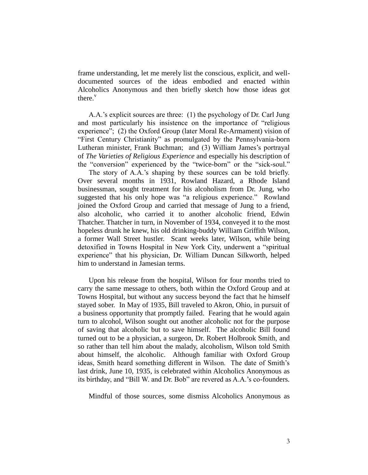frame understanding, let me merely list the conscious, explicit, and welldocumented sources of the ideas embodied and enacted within Alcoholics Anonymous and then briefly sketch how those ideas got there. $v$ 

A.A.'s explicit sources are three: (1) the psychology of Dr. Carl Jung and most particularly his insistence on the importance of "religious experience"; (2) the Oxford Group (later Moral Re-Armament) vision of "First Century Christianity" as promulgated by the Pennsylvania-born Lutheran minister, Frank Buchman; and (3) William James's portrayal of *The Varieties of Religious Experience* and especially his description of the "conversion" experienced by the "twice-born" or the "sick-soul."

The story of A.A.'s shaping by these sources can be told briefly. Over several months in 1931, Rowland Hazard, a Rhode Island businessman, sought treatment for his alcoholism from Dr. Jung, who suggested that his only hope was "a religious experience." Rowland joined the Oxford Group and carried that message of Jung to a friend, also alcoholic, who carried it to another alcoholic friend, Edwin Thatcher. Thatcher in turn, in November of 1934, conveyed it to the most hopeless drunk he knew, his old drinking-buddy William Griffith Wilson, a former Wall Street hustler. Scant weeks later, Wilson, while being detoxified in Towns Hospital in New York City, underwent a "spiritual experience" that his physician, Dr. William Duncan Silkworth, helped him to understand in Jamesian terms.

Upon his release from the hospital, Wilson for four months tried to carry the same message to others, both within the Oxford Group and at Towns Hospital, but without any success beyond the fact that he himself stayed sober. In May of 1935, Bill traveled to Akron, Ohio, in pursuit of a business opportunity that promptly failed. Fearing that he would again turn to alcohol, Wilson sought out another alcoholic not for the purpose of saving that alcoholic but to save himself. The alcoholic Bill found turned out to be a physician, a surgeon, Dr. Robert Holbrook Smith, and so rather than tell him about the malady, alcoholism, Wilson told Smith about himself, the alcoholic. Although familiar with Oxford Group ideas, Smith heard something different in Wilson. The date of Smith's last drink, June 10, 1935, is celebrated within Alcoholics Anonymous as its birthday, and "Bill W. and Dr. Bob" are revered as A.A.'s co-founders.

Mindful of those sources, some dismiss Alcoholics Anonymous as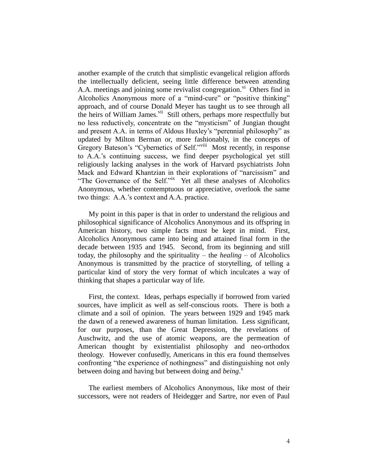another example of the crutch that simplistic evangelical religion affords the intellectually deficient, seeing little difference between attending A.A. meetings and joining some revivalist congregation.<sup>vi</sup> Others find in Alcoholics Anonymous more of a "mind-cure" or "positive thinking" approach, and of course Donald Meyer has taught us to see through all the heirs of William James.<sup>vii</sup> Still others, perhaps more respectfully but no less reductively, concentrate on the "mysticism" of Jungian thought and present A.A. in terms of Aldous Huxley's "perennial philosophy" as updated by Milton Berman or, more fashionably, in the concepts of Gregory Bateson's "Cybernetics of Self."<sup>viii</sup> Most recently, in response to A.A.'s continuing success, we find deeper psychological yet still religiously lacking analyses in the work of Harvard psychiatrists John Mack and Edward Khantzian in their explorations of "narcissism" and "The Governance of the Self."<sup>ix</sup> Yet all these analyses of Alcoholics Anonymous, whether contemptuous or appreciative, overlook the same two things: A.A.'s context and A.A. practice.

My point in this paper is that in order to understand the religious and philosophical significance of Alcoholics Anonymous and its offspring in American history, two simple facts must be kept in mind. First, Alcoholics Anonymous came into being and attained final form in the decade between 1935 and 1945. Second, from its beginning and still today, the philosophy and the spirituality – the *healing* – of Alcoholics Anonymous is transmitted by the practice of storytelling, of telling a particular kind of story the very format of which inculcates a way of thinking that shapes a particular way of life.

First, the context. Ideas, perhaps especially if borrowed from varied sources, have implicit as well as self-conscious roots. There is both a climate and a soil of opinion. The years between 1929 and 1945 mark the dawn of a renewed awareness of human limitation. Less significant, for our purposes, than the Great Depression, the revelations of Auschwitz, and the use of atomic weapons, are the permeation of American thought by existentialist philosophy and neo-orthodox theology. However confusedly, Americans in this era found themselves confronting "the experience of nothingness" and distinguishing not only between doing and having but between doing and *being*. x

The earliest members of Alcoholics Anonymous, like most of their successors, were not readers of Heidegger and Sartre, nor even of Paul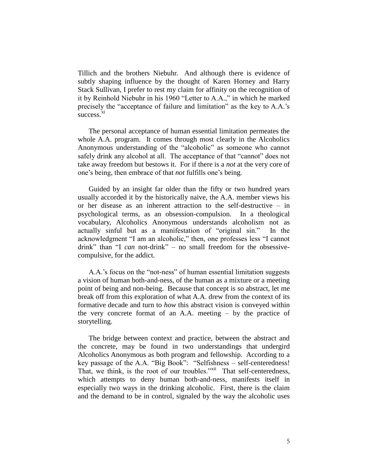Tillich and the brothers Niebuhr. And although there is evidence of subtly shaping influence by the thought of Karen Horney and Harry Stack Sullivan, I prefer to rest my claim for affinity on the recognition of it by Reinhold Niebuhr in his 1960 "Letter to A.A.," in which he marked precisely the "acceptance of failure and limitation" as the key to A.A.'s success.<sup>xi</sup>

The personal acceptance of human essential limitation permeates the whole A.A. program. It comes through most clearly in the Alcoholics Anonymous understanding of the "alcoholic" as someone who cannot safely drink any alcohol at all. The acceptance of that "cannot" does not take away freedom but bestows it. For if there is a *not* at the very core of one's being, then embrace of that *not* fulfills one's being.

Guided by an insight far older than the fifty or two hundred years usually accorded it by the historically naive, the A.A. member views his or her disease as an inherent attraction to the self-destructive – in psychological terms, as an obsession-compulsion. In a theological vocabulary, Alcoholics Anonymous understands alcoholism not as actually sinful but as a manifestation of "original sin." In the acknowledgment "I am an alcoholic," then, one professes less "I cannot drink" than "I *can* not-drink" – no small freedom for the obsessivecompulsive, for the addict.

A.A.'s focus on the "not-ness" of human essential limitation suggests a vision of human both-and-ness, of the human as a mixture or a meeting point of being and non-being. Because that concept is so abstract, let me break off from this exploration of what A.A. drew from the context of its formative decade and turn to *how* this abstract vision is conveyed within the very concrete format of an A.A. meeting – by the practice of storytelling.

The bridge between context and practice, between the abstract and the concrete, may be found in two understandings that undergird Alcoholics Anonymous as both program and fellowship. According to a key passage of the A.A. "Big Book": "Selfishness – self-centeredness! That, we think, is the root of our troubles."<sup>xii</sup> That self-centeredness, which attempts to deny human both-and-ness, manifests itself in especially two ways in the drinking alcoholic. First, there is the claim and the demand to be in control, signaled by the way the alcoholic uses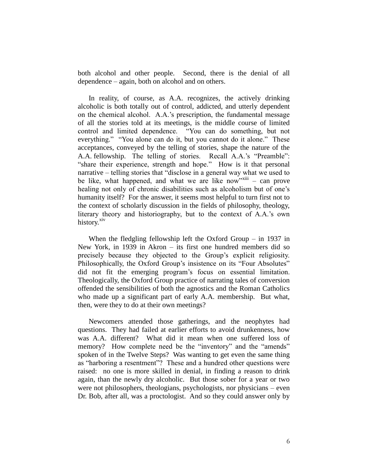both alcohol and other people. Second, there is the denial of all dependence – again, both on alcohol and on others.

In reality, of course, as A.A. recognizes, the actively drinking alcoholic is both totally out of control, addicted, and utterly dependent on the chemical alcohol. A.A.'s prescription, the fundamental message of all the stories told at its meetings, is the middle course of limited control and limited dependence. "You can do something, but not everything." "You alone can do it, but you cannot do it alone." These acceptances, conveyed by the telling of stories, shape the nature of the A.A. fellowship. The telling of stories. Recall A.A.'s "Preamble": "share their experience, strength and hope." How is it that personal narrative – telling stories that "disclose in a general way what we used to be like, what happened, and what we are like now<sup>"xiii</sup> – can prove healing not only of chronic disabilities such as alcoholism but of one's humanity itself? For the answer, it seems most helpful to turn first not to the context of scholarly discussion in the fields of philosophy, theology, literary theory and historiography, but to the context of A.A.'s own history.<sup>xiv</sup>

When the fledgling fellowship left the Oxford Group – in 1937 in New York, in 1939 in Akron – its first one hundred members did so precisely because they objected to the Group's explicit religiosity. Philosophically, the Oxford Group's insistence on its "Four Absolutes" did not fit the emerging program's focus on essential limitation. Theologically, the Oxford Group practice of narrating tales of conversion offended the sensibilities of both the agnostics and the Roman Catholics who made up a significant part of early A.A. membership. But what, then, were they to do at their own meetings?

Newcomers attended those gatherings, and the neophytes had questions. They had failed at earlier efforts to avoid drunkenness, how was A.A. different? What did it mean when one suffered loss of memory? How complete need be the "inventory" and the "amends" spoken of in the Twelve Steps? Was wanting to get even the same thing as "harboring a resentment"? These and a hundred other questions were raised: no one is more skilled in denial, in finding a reason to drink again, than the newly dry alcoholic. But those sober for a year or two were not philosophers, theologians, psychologists, nor physicians – even Dr. Bob, after all, was a proctologist. And so they could answer only by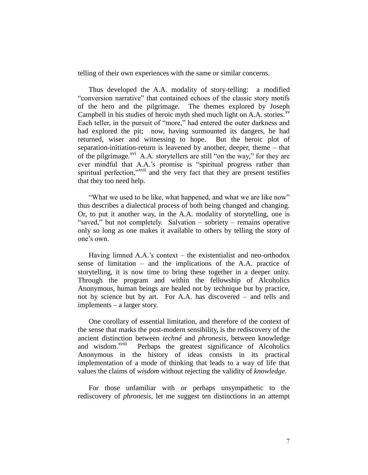telling of their own experiences with the same or similar concerns.

Thus developed the A.A. modality of story-telling: a modified "conversion narrative" that contained echoes of the classic story motifs of the hero and the pilgrimage. The themes explored by Joseph Campbell in his studies of heroic myth shed much light on A.A. stories. $x<sup>v</sup>$ Each teller, in the pursuit of "more," had entered the outer darkness and had explored the pit; now, having surmounted its dangers, he had returned, wiser and witnessing to hope. But the heroic plot of separation-initiation-return is leavened by another, deeper, theme – that of the pilgrimage.<sup>xvi</sup> A.A. storytellers are still "on the way," for they are ever mindful that A.A.'s promise is "spiritual progress rather than spiritual perfection,"<sup>xvii</sup> and the very fact that they are present testifies that they too need help.

"What we used to be like, what happened, and what we are like now" thus describes a dialectical process of both being changed and changing. Or, to put it another way, in the A.A. modality of storytelling, one is "saved," but not completely. Salvation – sobriety – remains operative only so long as one makes it available to others by telling the story of one's own.

Having limned A.A.'s context – the existentialist and neo-orthodox sense of limitation – and the implications of the A.A. practice of storytelling, it is now time to bring these together in a deeper unity. Through the program and within the fellowship of Alcoholics Anonymous, human beings are healed not by technique but by practice, not by science but by art. For A.A. has discovered – and tells and implements – a larger story.

One corollary of essential limitation, and therefore of the context of the sense that marks the post-modern sensibility, is the rediscovery of the ancient distinction between *techné* and *phronesis*, between knowledge and wisdom.<sup>xviii</sup> Perhaps the greatest significance of Alcoholics Anonymous in the history of ideas consists in its practical implementation of a mode of thinking that leads to a way of life that values the claims of *wisdom* without rejecting the validity of *knowledge*.

For those unfamiliar with or perhaps unsympathetic to the rediscovery of *phronesis*, let me suggest ten distinctions in an attempt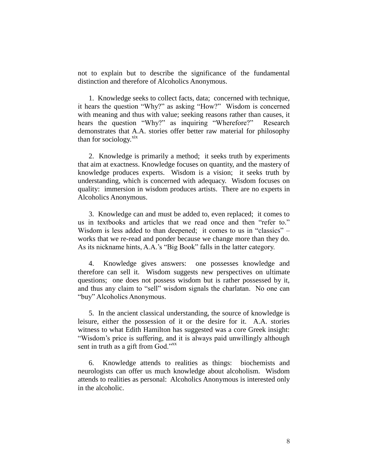not to explain but to describe the significance of the fundamental distinction and therefore of Alcoholics Anonymous.

1. Knowledge seeks to collect facts, data; concerned with technique, it hears the question "Why?" as asking "How?" Wisdom is concerned with meaning and thus with value; seeking reasons rather than causes, it hears the question "Why?" as inquiring "Wherefore?" Research demonstrates that A.A. stories offer better raw material for philosophy than for sociology. $\frac{xx}{xx}$ 

2. Knowledge is primarily a method; it seeks truth by experiments that aim at exactness. Knowledge focuses on quantity, and the mastery of knowledge produces experts. Wisdom is a vision; it seeks truth by understanding, which is concerned with adequacy. Wisdom focuses on quality: immersion in wisdom produces artists. There are no experts in Alcoholics Anonymous.

3. Knowledge can and must be added to, even replaced; it comes to us in textbooks and articles that we read once and then "refer to." Wisdom is less added to than deepened; it comes to us in "classics" – works that we re-read and ponder because we change more than they do. As its nickname hints, A.A.'s "Big Book" falls in the latter category.

4. Knowledge gives answers: one possesses knowledge and therefore can sell it. Wisdom suggests new perspectives on ultimate questions; one does not possess wisdom but is rather possessed by it, and thus any claim to "sell" wisdom signals the charlatan. No one can "buy" Alcoholics Anonymous.

5. In the ancient classical understanding, the source of knowledge is leisure, either the possession of it or the desire for it. A.A. stories witness to what Edith Hamilton has suggested was a core Greek insight: "Wisdom's price is suffering, and it is always paid unwillingly although sent in truth as a gift from God."<sup>xx</sup>

6. Knowledge attends to realities as things: biochemists and neurologists can offer us much knowledge about alcoholism. Wisdom attends to realities as personal: Alcoholics Anonymous is interested only in the alcoholic.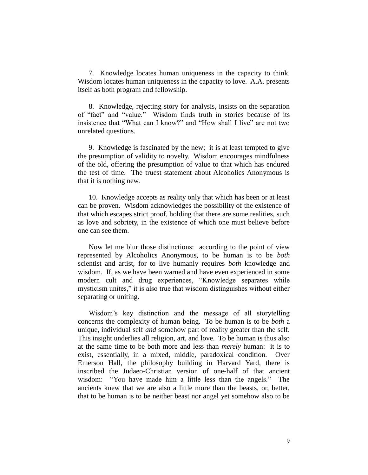7. Knowledge locates human uniqueness in the capacity to think. Wisdom locates human uniqueness in the capacity to love. A.A. presents itself as both program and fellowship.

8. Knowledge, rejecting story for analysis, insists on the separation of "fact" and "value." Wisdom finds truth in stories because of its insistence that "What can I know?" and "How shall I live" are not two unrelated questions.

9. Knowledge is fascinated by the new; it is at least tempted to give the presumption of validity to novelty. Wisdom encourages mindfulness of the old, offering the presumption of value to that which has endured the test of time. The truest statement about Alcoholics Anonymous is that it is nothing new.

10. Knowledge accepts as reality only that which has been or at least can be proven. Wisdom acknowledges the possibility of the existence of that which escapes strict proof, holding that there are some realities, such as love and sobriety, in the existence of which one must believe before one can see them.

Now let me blur those distinctions: according to the point of view represented by Alcoholics Anonymous, to be human is to be *both* scientist and artist, for to live humanly requires *both* knowledge and wisdom. If, as we have been warned and have even experienced in some modern cult and drug experiences, "Knowledge separates while mysticism unites," it is also true that wisdom distinguishes without either separating or uniting.

Wisdom's key distinction and the message of all storytelling concerns the complexity of human being. To be human is to be *both* a unique, individual self *and* somehow part of reality greater than the self. This insight underlies all religion, art, and love. To be human is thus also at the same time to be both more and less than *merely* human: it is to exist, essentially, in a mixed, middle, paradoxical condition. Over Emerson Hall, the philosophy building in Harvard Yard, there is inscribed the Judaeo-Christian version of one-half of that ancient wisdom: "You have made him a little less than the angels." The ancients knew that we are also a little more than the beasts, or, better, that to be human is to be neither beast nor angel yet somehow also to be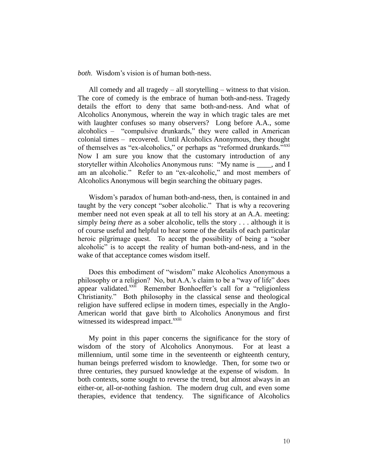*both*. Wisdom's vision is of human both-ness.

All comedy and all tragedy – all storytelling – witness to that vision. The core of comedy is the embrace of human both-and-ness. Tragedy details the effort to deny that same both-and-ness. And what of Alcoholics Anonymous, wherein the way in which tragic tales are met with laughter confuses so many observers? Long before A.A., some alcoholics – "compulsive drunkards," they were called in American colonial times – recovered. Until Alcoholics Anonymous, they thought of themselves as "ex-alcoholics," or perhaps as "reformed drunkards."<sup>xxi</sup> Now I am sure you know that the customary introduction of any storyteller within Alcoholics Anonymous runs: "My name is *\_\_\_\_*, and I am an alcoholic." Refer to an "ex-alcoholic," and most members of Alcoholics Anonymous will begin searching the obituary pages.

Wisdom's paradox of human both-and-ness, then, is contained in and taught by the very concept "sober alcoholic." That is why a recovering member need not even speak at all to tell his story at an A.A. meeting: simply *being there* as a sober alcoholic, tells the story . . . although it is of course useful and helpful to hear some of the details of each particular heroic pilgrimage quest. To accept the possibility of being a "sober alcoholic" is to accept the reality of human both-and-ness, and in the wake of that acceptance comes wisdom itself.

Does this embodiment of "wisdom" make Alcoholics Anonymous a philosophy or a religion? No, but A.A.'s claim to be a "way of life" does appear validated.<sup>xxii</sup> Remember Bonhoeffer's call for a "religionless" Christianity." Both philosophy in the classical sense and theological religion have suffered eclipse in modern times, especially in the Anglo-American world that gave birth to Alcoholics Anonymous and first witnessed its widespread impact.<sup>xxiii</sup>

My point in this paper concerns the significance for the story of wisdom of the story of Alcoholics Anonymous. For at least a millennium, until some time in the seventeenth or eighteenth century, human beings preferred wisdom to knowledge. Then, for some two or three centuries, they pursued knowledge at the expense of wisdom. In both contexts, some sought to reverse the trend, but almost always in an either-or, all-or-nothing fashion. The modern drug cult, and even some therapies, evidence that tendency. The significance of Alcoholics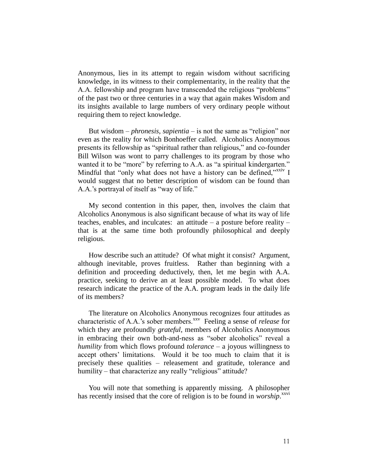Anonymous, lies in its attempt to regain wisdom without sacrificing knowledge, in its witness to their complementarity, in the reality that the A.A. fellowship and program have transcended the religious "problems" of the past two or three centuries in a way that again makes Wisdom and its insights available to large numbers of very ordinary people without requiring them to reject knowledge.

But wisdom – *phronesis*, *sapientia* – is not the same as "religion" nor even as the reality for which Bonhoeffer called. Alcoholics Anonymous presents its fellowship as "spiritual rather than religious," and co-founder Bill Wilson was wont to parry challenges to its program by those who wanted it to be "more" by referring to A.A. as "a spiritual kindergarten." Mindful that "only what does not have a history can be defined,"<sup>xxiv</sup> I would suggest that no better description of wisdom can be found than A.A.'s portrayal of itself as "way of life."

My second contention in this paper, then, involves the claim that Alcoholics Anonymous is also significant because of what its way of life teaches, enables, and inculcates: an attitude – a posture before reality – that is at the same time both profoundly philosophical and deeply religious.

How describe such an attitude? Of what might it consist? Argument, although inevitable, proves fruitless. Rather than beginning with a definition and proceeding deductively, then, let me begin with A.A. practice, seeking to derive an at least possible model. To what does research indicate the practice of the A.A. program leads in the daily life of its members?

The literature on Alcoholics Anonymous recognizes four attitudes as characteristic of A.A.'s sober members.<sup>xxv</sup> Feeling a sense of *release* for which they are profoundly *grateful*, members of Alcoholics Anonymous in embracing their own both-and-ness as "sober alcoholics" reveal a *humility* from which flows profound *tolerance* – a joyous willingness to accept others' limitations. Would it be too much to claim that it is precisely these qualities – releasement and gratitude, tolerance and humility – that characterize any really "religious" attitude?

You will note that something is apparently missing. A philosopher has recently insised that the core of religion is to be found in *worship*. xxvi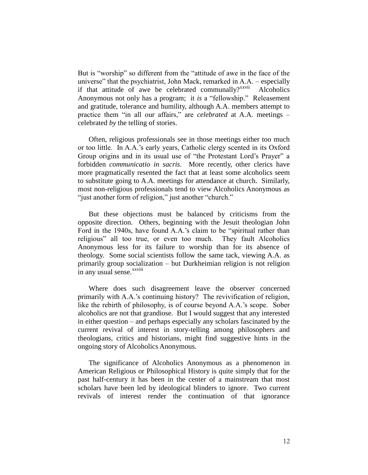But is "worship" so different from the "attitude of awe in the face of the universe" that the psychiatrist, John Mack, remarked in A.A. – especially if that attitude of awe be celebrated communally? $x^{xxvii}$  Alcoholics Anonymous not only has a program; it *is* a "fellowship." Releasement and gratitude, tolerance and humility, although A.A. members attempt to practice them "in all our affairs," are *celebrated* at A.A. meetings – celebrated *by* the telling of stories.

Often, religious professionals see in those meetings either too much or too little. In A.A.'s early years, Catholic clergy scented in its Oxford Group origins and in its usual use of "the Protestant Lord's Prayer" a forbidden *communicatio in sacris*. More recently, other clerics have more pragmatically resented the fact that at least some alcoholics seem to substitute going to A.A. meetings for attendance at church. Similarly, most non-religious professionals tend to view Alcoholics Anonymous as "just another form of religion," just another "church."

But these objections must be balanced by criticisms from the opposite direction. Others, beginning with the Jesuit theologian John Ford in the 1940s, have found A.A.'s claim to be "spiritual rather than religious" all too true, or even too much. They fault Alcoholics Anonymous less for its failure to worship than for its absence of theology. Some social scientists follow the same tack, viewing A.A. as primarily group socialization – but Durkheimian religion is not religion in any usual sense.<sup>xxviii</sup>

Where does such disagreement leave the observer concerned primarily with A.A.'s continuing history? The revivification of religion, like the rebirth of philosophy, is of course beyond A.A.'s scope. Sober alcoholics are not that grandiose. But I would suggest that any interested in either question – and perhaps especially any scholars fascinated by the current revival of interest in story-telling among philosophers and theologians, critics and historians, might find suggestive hints in the ongoing story of Alcoholics Anonymous.

The significance of Alcoholics Anonymous as a phenomenon in American Religious or Philosophical History is quite simply that for the past half-century it has been in the center of a mainstream that most scholars have been led by ideological blinders to ignore. Two current revivals of interest render the continuation of that ignorance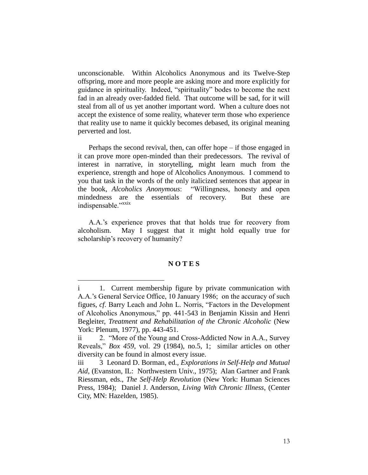unconscionable. Within Alcoholics Anonymous and its Twelve-Step offspring, more and more people are asking more and more explicitly for guidance in spirituality. Indeed, "spirituality" bodes to become the next fad in an already over-fadded field. That outcome will be sad, for it will steal from all of us yet another important word. When a culture does not accept the existence of some reality, whatever term those who experience that reality use to name it quickly becomes debased, its original meaning perverted and lost.

Perhaps the second revival, then, can offer hope – if those engaged in it can prove more open-minded than their predecessors. The revival of interest in narrative, in storytelling, might learn much from the experience, strength and hope of Alcoholics Anonymous. I commend to you that task in the words of the only italicized sentences that appear in the book, *Alcoholics Anonymous*: "Willingness, honesty and open mindedness are the essentials of recovery. But these are indispensable."xxix

A.A.'s experience proves that that holds true for recovery from alcoholism. May I suggest that it might hold equally true for scholarship's recovery of humanity?

## **N O T E S**

 $\overline{a}$ 

i 1. Current membership figure by private communication with A.A.'s General Service Office, 10 January 1986; on the accuracy of such figues, *cf*. Barry Leach and John L. Norris, "Factors in the Development of Alcoholics Anonymous," pp. 441-543 in Benjamin Kissin and Henri Begleiter, *Treatment and Rehabilitation of the Chronic Alcoholic* (New York: Plenum, 1977), pp. 443-451.

ii 2. "More of the Young and Cross-Addicted Now in A.A., Survey Reveals," *Box 459*, vol. 29 (1984), no.5, 1; similar articles on other diversity can be found in almost every issue.

iii 3 Leonard D. Borman, ed., *Explorations in Self-Help and Mutual Aid*, (Evanston, IL: Northwestern Univ., 1975); Alan Gartner and Frank Riessman, eds., *The Self-Help Revolution* (New York: Human Sciences Press, 1984); Daniel J. Anderson, *Living With Chronic Illness*, (Center City, MN: Hazelden, 1985).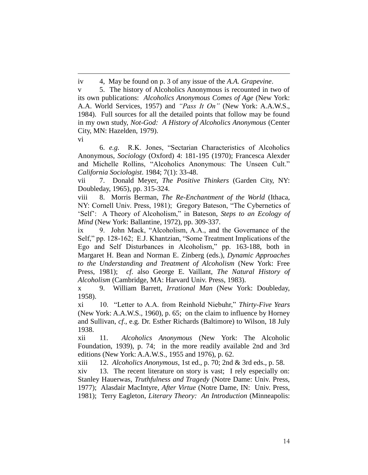iv 4, May be found on p. 3 of any issue of the *A.A. Grapevine*.

v 5. The history of Alcoholics Anonymous is recounted in two of its own publications: *Alcoholics Anonymous Comes of Age* (New York: A.A. World Services, 1957) and *"Pass It On"* (New York: A.A.W.S., 1984). Full sources for all the detailed points that follow may be found in my own study, *Not-God: A History of Alcoholics Anonymous* (Center City, MN: Hazelden, 1979).

vi

-

6. *e.g.* R.K. Jones, "Sectarian Characteristics of Alcoholics Anonymous, *Sociology* (Oxford) 4: 181-195 (1970); Francesca Alexder and Michelle Rollins, "Alcoholics Anonymous: The Unseen Cult." *California Sociologist*. 1984; 7(1): 33-48.

vii 7. Donald Meyer, *The Positive Thinkers* (Garden City, NY: Doubleday, 1965), pp. 315-324.

viii 8. Morris Berman, *The Re-Enchantment of the World* (Ithaca, NY: Cornell Univ. Press, 1981); Gregory Bateson, "The Cybernetics of 'Self': A Theory of Alcoholism," in Bateson, *Steps to an Ecology of Mind* (New York: Ballantine, 1972), pp. 309-337.

ix 9. John Mack, "Alcoholism, A.A., and the Governance of the Self," pp. 128-162; E.J. Khantzian, "Some Treatment Implications of the Ego and Self Disturbances in Alcoholism," pp. 163-188, both in Margaret H. Bean and Norman E. Zinberg (eds.), *Dynamic Approaches to the Understanding and Treatment of Alcoholism* (New York: Free Press, 1981); *cf*. also George E. Vaillant, *The Natural History of Alcoholism* (Cambridge, MA: Harvard Univ. Press, 1983).

x 9. William Barrett, *Irrational Man* (New York: Doubleday, 1958).

xi 10. "Letter to A.A. from Reinhold Niebuhr," *Thirty-Five Years* (New York: A.A.W.S., 1960), p. 65; on the claim to influence by Horney and Sullivan, *cf*., e.g. Dr. Esther Richards (Baltimore) to Wilson, 18 July 1938.

xii 11. *Alcoholics Anonymous* (New York: The Alcoholic Foundation, 1939), p. 74; in the more readily available 2nd and 3rd editions (New York: A.A.W.S., 1955 and 1976), p. 62.

xiii 12. *Alcoholics Anonymous*, 1st ed., p. 70; 2nd & 3rd eds., p. 58.

xiv 13. The recent literature on story is vast; I rely especially on: Stanley Hauerwas, *Truthfulness and Tragedy* (Notre Dame: Univ. Press, 1977); Alasdair MacIntyre, *After Virtue* (Notre Dame, IN: Univ. Press, 1981); Terry Eagleton, *Literary Theory: An Introduction* (Minneapolis: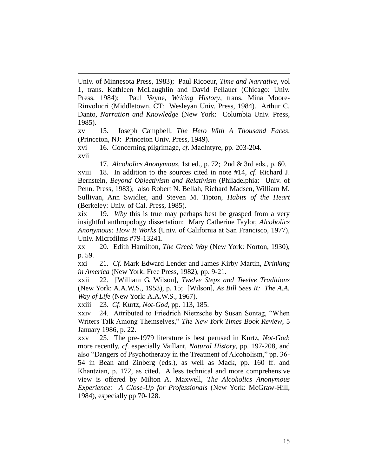-Univ. of Minnesota Press, 1983); Paul Ricoeur, *Time and Narrative*, vol 1, trans. Kathleen McLaughlin and David Pellauer (Chicago: Univ. Press, 1984); Paul Veyne, *Writing History*, trans. Mina Moore-Rinvolucri (Middletown, CT: Wesleyan Univ. Press, 1984). Arthur C. Danto, *Narration and Knowledge* (New York: Columbia Univ. Press, 1985).

xv 15. Joseph Campbell, *The Hero With A Thousand Faces*, (Princeton, NJ: Princeton Univ. Press, 1949).

xvi 16. Concerning pilgrimage, *cf*. MacIntyre, pp. 203-204. xvii

17. *Alcoholics Anonymous*, 1st ed., p. 72; 2nd & 3rd eds., p. 60. xviii 18. In addition to the sources cited in note #14, *cf*. Richard J. Bernstein, *Beyond Objectivism and Relativism* (Philadelphia: Univ. of Penn. Press, 1983); also Robert N. Bellah, Richard Madsen, William M. Sullivan, Ann Swidler, and Steven M. Tipton, *Habits of the Heart* (Berkeley: Univ. of Cal. Press, 1985).

xix 19. *Why* this is true may perhaps best be grasped from a very insightful anthropology dissertation: Mary Catherine Taylor, *Alcoholics Anonymous: How It Works* (Univ. of California at San Francisco, 1977), Univ. Microfilms #79-13241.

xx 20. Edith Hamilton, *The Greek Way* (New York: Norton, 1930), p. 59.

xxi 21. *Cf*. Mark Edward Lender and James Kirby Martin, *Drinking in America* (New York: Free Press, 1982), pp. 9-21.

xxii 22. [William G. Wilson], *Twelve Steps and Twelve Traditions* (New York: A.A.W.S., 1953), p. 15; [Wilson], *As Bill Sees It: The A.A. Way of Life* (New York: A.A.W.S., 1967).

xxiii 23. *Cf*. Kurtz, *Not-God*, pp. 113, 185.

xxiv 24. Attributed to Friedrich Nietzsche by Susan Sontag, "When Writers Talk Among Themselves," *The New York Times Book Review*, 5 January 1986, p. 22.

xxv 25. The pre-1979 literature is best perused in Kurtz, *Not-God*; more recently, *cf*. especially Vaillant, *Natural History*, pp. 197-208, and also "Dangers of Psychotherapy in the Treatment of Alcoholism," pp. 36- 54 in Bean and Zinberg (eds.), as well as Mack, pp. 160 ff. and Khantzian, p. 172, as cited. A less technical and more comprehensive view is offered by Milton A. Maxwell, *The Alcoholics Anonymous Experience: A Close-Up for Professionals* (New York: McGraw-Hill, 1984), especially pp 70-128.